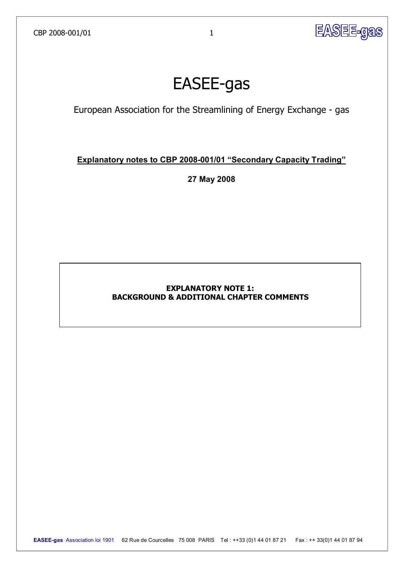

# **EASEE-gas**

European Association for the Streamlining of Energy Exchange - gas

## **Explanatory notes to CBP 2008-001/01 "Secondary Capacity Trading"**

**27 May 2008** 

## **EXPLANATORY NOTE 1: BACKGROUND & ADDITIONAL CHAPTER COMMENTS**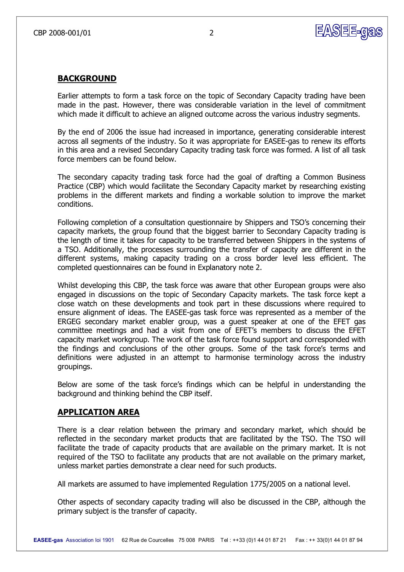

#### **BACKGROUND**

Earlier attempts to form a task force on the topic of Secondary Capacity trading have been made in the past. However, there was considerable variation in the level of commitment which made it difficult to achieve an aligned outcome across the various industry segments.

By the end of 2006 the issue had increased in importance, generating considerable interest across all segments of the industry. So it was appropriate for EASEE-gas to renew its efforts in this area and a revised Secondary Capacity trading task force was formed. A list of all task force members can be found below.

The secondary capacity trading task force had the goal of drafting a Common Business Practice (CBP) which would facilitate the Secondary Capacity market by researching existing problems in the different markets and finding a workable solution to improve the market conditions.

Following completion of a consultation questionnaire by Shippers and TSO's concerning their capacity markets, the group found that the biggest barrier to Secondary Capacity trading is the length of time it takes for capacity to be transferred between Shippers in the systems of a TSO. Additionally, the processes surrounding the transfer of capacity are different in the different systems, making capacity trading on a cross border level less efficient. The completed questionnaires can be found in Explanatory note 2.

Whilst developing this CBP, the task force was aware that other European groups were also engaged in discussions on the topic of Secondary Capacity markets. The task force kept a close watch on these developments and took part in these discussions where required to ensure alignment of ideas. The EASEE-gas task force was represented as a member of the ERGEG secondary market enabler group, was a guest speaker at one of the EFET gas committee meetings and had a visit from one of EFET's members to discuss the EFET capacity market workgroup. The work of the task force found support and corresponded with the findings and conclusions of the other groups. Some of the task force's terms and definitions were adjusted in an attempt to harmonise terminology across the industry groupings.

Below are some of the task force's findings which can be helpful in understanding the background and thinking behind the CBP itself.

#### **APPLICATION AREA**

There is a clear relation between the primary and secondary market, which should be reflected in the secondary market products that are facilitated by the TSO. The TSO will facilitate the trade of capacity products that are available on the primary market. It is not required of the TSO to facilitate any products that are not available on the primary market, unless market parties demonstrate a clear need for such products.

All markets are assumed to have implemented Regulation 1775/2005 on a national level.

Other aspects of secondary capacity trading will also be discussed in the CBP, although the primary subject is the transfer of capacity.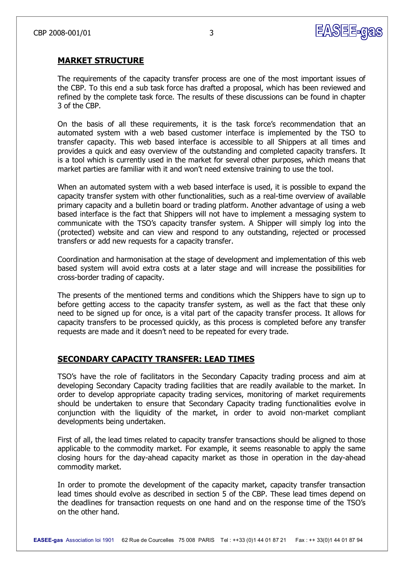

#### **MARKET STRUCTURE**

The requirements of the capacity transfer process are one of the most important issues of the CBP. To this end a sub task force has drafted a proposal, which has been reviewed and refined by the complete task force. The results of these discussions can be found in chapter 3 of the CBP.

On the basis of all these requirements, it is the task force's recommendation that an automated system with a web based customer interface is implemented by the TSO to transfer capacity. This web based interface is accessible to all Shippers at all times and provides a quick and easy overview of the outstanding and completed capacity transfers. It is a tool which is currently used in the market for several other purposes, which means that market parties are familiar with it and won't need extensive training to use the tool.

When an automated system with a web based interface is used, it is possible to expand the capacity transfer system with other functionalities, such as a real-time overview of available primary capacity and a bulletin board or trading platform. Another advantage of using a web based interface is the fact that Shippers will not have to implement a messaging system to communicate with the TSO's capacity transfer system. A Shipper will simply log into the (protected) website and can view and respond to any outstanding, rejected or processed transfers or add new requests for a capacity transfer.

Coordination and harmonisation at the stage of development and implementation of this web based system will avoid extra costs at a later stage and will increase the possibilities for cross-border trading of capacity.

The presents of the mentioned terms and conditions which the Shippers have to sign up to before getting access to the capacity transfer system, as well as the fact that these only need to be signed up for once, is a vital part of the capacity transfer process. It allows for capacity transfers to be processed quickly, as this process is completed before any transfer requests are made and it doesn't need to be repeated for every trade.

#### **SECONDARY CAPACITY TRANSFER: LEAD TIMES**

TSO's have the role of facilitators in the Secondary Capacity trading process and aim at developing Secondary Capacity trading facilities that are readily available to the market. In order to develop appropriate capacity trading services, monitoring of market requirements should be undertaken to ensure that Secondary Capacity trading functionalities evolve in conjunction with the liquidity of the market, in order to avoid non-market compliant developments being undertaken.

First of all, the lead times related to capacity transfer transactions should be aligned to those applicable to the commodity market. For example, it seems reasonable to apply the same closing hours for the day-ahead capacity market as those in operation in the day-ahead commodity market.

In order to promote the development of the capacity market, capacity transfer transaction lead times should evolve as described in section 5 of the CBP. These lead times depend on the deadlines for transaction requests on one hand and on the response time of the TSO's on the other hand.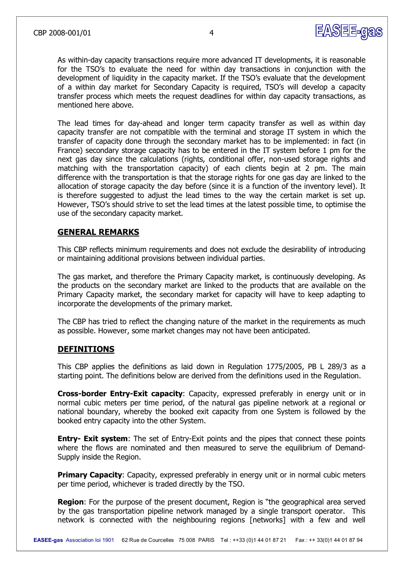

As within-day capacity transactions require more advanced IT developments, it is reasonable for the TSO's to evaluate the need for within day transactions in conjunction with the development of liquidity in the capacity market. If the TSO's evaluate that the development of a within day market for Secondary Capacity is required, TSO's will develop a capacity transfer process which meets the request deadlines for within day capacity transactions, as mentioned here above.

The lead times for day-ahead and longer term capacity transfer as well as within day capacity transfer are not compatible with the terminal and storage IT system in which the transfer of capacity done through the secondary market has to be implemented: in fact (in France) secondary storage capacity has to be entered in the IT system before 1 pm for the next gas day since the calculations (rights, conditional offer, non-used storage rights and matching with the transportation capacity) of each clients begin at 2 pm. The main difference with the transportation is that the storage rights for one gas day are linked to the allocation of storage capacity the day before (since it is a function of the inventory level). It is therefore suggested to adjust the lead times to the way the certain market is set up. However, TSO's should strive to set the lead times at the latest possible time, to optimise the use of the secondary capacity market.

## **GENERAL REMARKS**

This CBP reflects minimum requirements and does not exclude the desirability of introducing or maintaining additional provisions between individual parties.

The gas market, and therefore the Primary Capacity market, is continuously developing. As the products on the secondary market are linked to the products that are available on the Primary Capacity market, the secondary market for capacity will have to keep adapting to incorporate the developments of the primary market.

The CBP has tried to reflect the changing nature of the market in the requirements as much as possible. However, some market changes may not have been anticipated.

#### **DEFINITIONS**

This CBP applies the definitions as laid down in Regulation 1775/2005, PB L 289/3 as a starting point. The definitions below are derived from the definitions used in the Regulation.

**Cross-border Entry-Exit capacity:** Capacity, expressed preferably in energy unit or in normal cubic meters per time period, of the natural gas pipeline network at a regional or national boundary, whereby the booked exit capacity from one System is followed by the booked entry capacity into the other System.

**Entry- Exit system:** The set of Entry-Exit points and the pipes that connect these points where the flows are nominated and then measured to serve the equilibrium of Demand-Supply inside the Region.

**Primary Capacity:** Capacity, expressed preferably in energy unit or in normal cubic meters per time period, whichever is traded directly by the TSO.

**Region**: For the purpose of the present document, Region is "the geographical area served by the gas transportation pipeline network managed by a single transport operator. This network is connected with the neighbouring regions [networks] with a few and well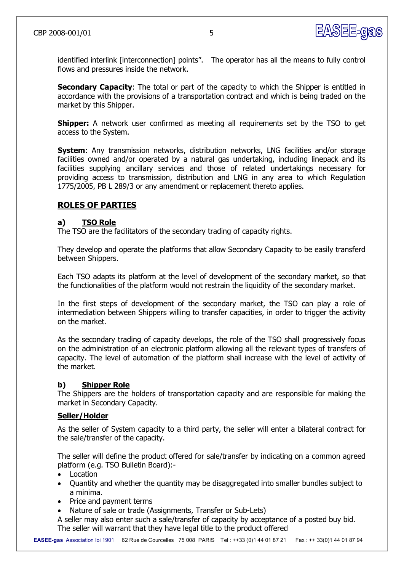

identified interlink [interconnection] points". The operator has all the means to fully control flows and pressures inside the network.

**Secondary Capacity:** The total or part of the capacity to which the Shipper is entitled in accordance with the provisions of a transportation contract and which is being traded on the market by this Shipper.

**Shipper:** A network user confirmed as meeting all requirements set by the TSO to get access to the System.

**System:** Any transmission networks, distribution networks, LNG facilities and/or storage facilities owned and/or operated by a natural gas undertaking, including linepack and its facilities supplying ancillary services and those of related undertakings necessary for providing access to transmission, distribution and LNG in any area to which Regulation 1775/2005, PB L 289/3 or any amendment or replacement thereto applies.

## **ROLES OF PARTIES**

#### **a) TSO Role**

The TSO are the facilitators of the secondary trading of capacity rights.

They develop and operate the platforms that allow Secondary Capacity to be easily transferd between Shippers.

Each TSO adapts its platform at the level of development of the secondary market, so that the functionalities of the platform would not restrain the liquidity of the secondary market.

In the first steps of development of the secondary market, the TSO can play a role of intermediation between Shippers willing to transfer capacities, in order to trigger the activity on the market.

As the secondary trading of capacity develops, the role of the TSO shall progressively focus on the administration of an electronic platform allowing all the relevant types of transfers of capacity. The level of automation of the platform shall increase with the level of activity of the market.

#### **b) Shipper Role**

The Shippers are the holders of transportation capacity and are responsible for making the market in Secondary Capacity.

#### **Seller/Holder**

As the seller of System capacity to a third party, the seller will enter a bilateral contract for the sale/transfer of the capacity.

The seller will define the product offered for sale/transfer by indicating on a common agreed platform (e.g. TSO Bulletin Board):

- · Location
- · Quantity and whether the quantity may be disaggregated into smaller bundles subject to a minima.
- · Price and payment terms
- Nature of sale or trade (Assignments, Transfer or Sub-Lets)

A seller may also enter such a sale/transfer of capacity by acceptance of a posted buy bid. The seller will warrant that they have legal title to the product offered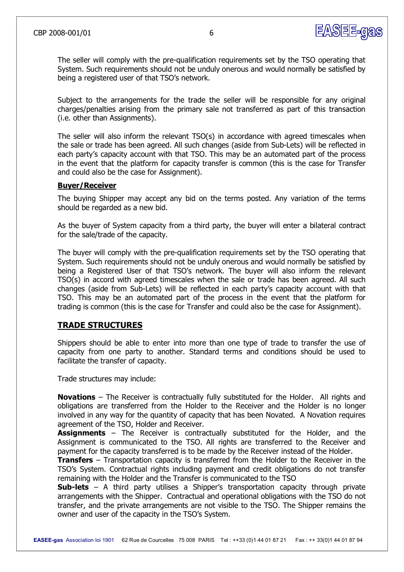

The seller will comply with the pre-qualification requirements set by the TSO operating that System. Such requirements should not be unduly onerous and would normally be satisfied by being a registered user of that TSO's network.

Subject to the arrangements for the trade the seller will be responsible for any original charges/penalties arising from the primary sale not transferred as part of this transaction (i.e. other than Assignments).

The seller will also inform the relevant  $TSO(s)$  in accordance with agreed timescales when the sale or trade has been agreed. All such changes (aside from Sub-Lets) will be reflected in each party's capacity account with that TSO. This may be an automated part of the process in the event that the platform for capacity transfer is common (this is the case for Transfer and could also be the case for Assignment).

#### **Buyer/Receiver**

The buying Shipper may accept any bid on the terms posted. Any variation of the terms should be regarded as a new bid.

As the buyer of System capacity from a third party, the buyer will enter a bilateral contract for the sale/trade of the capacity.

The buyer will comply with the pre-qualification requirements set by the TSO operating that System. Such requirements should not be unduly onerous and would normally be satisfied by being a Registered User of that TSO's network. The buyer will also inform the relevant TSO(s) in accord with agreed timescales when the sale or trade has been agreed. All such changes (aside from Sub-Lets) will be reflected in each party's capacity account with that TSO. This may be an automated part of the process in the event that the platform for trading is common (this is the case for Transfer and could also be the case for Assignment).

#### **TRADE STRUCTURES**

Shippers should be able to enter into more than one type of trade to transfer the use of capacity from one party to another. Standard terms and conditions should be used to facilitate the transfer of capacity.

Trade structures may include:

**Novations** – The Receiver is contractually fully substituted for the Holder. All rights and obligations are transferred from the Holder to the Receiver and the Holder is no longer involved in any way for the quantity of capacity that has been Novated. A Novation requires agreement of the TSO, Holder and Receiver.

**Assignments** – The Receiver is contractually substituted for the Holder, and the Assignment is communicated to the TSO. All rights are transferred to the Receiver and payment for the capacity transferred is to be made by the Receiver instead of the Holder.

**Transfers** – Transportation capacity is transferred from the Holder to the Receiver in the TSO's System. Contractual rights including payment and credit obligations do not transfer remaining with the Holder and the Transfer is communicated to the TSO

**Sub-lets** – A third party utilises a Shipper's transportation capacity through private arrangements with the Shipper. Contractual and operational obligations with the TSO do not transfer, and the private arrangements are not visible to the TSO. The Shipper remains the owner and user of the capacity in the TSO's System.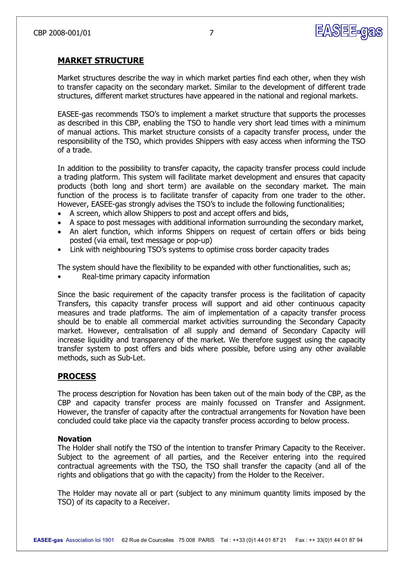

## **MARKET STRUCTURE**

Market structures describe the way in which market parties find each other, when they wish to transfer capacity on the secondary market. Similar to the development of different trade structures, different market structures have appeared in the national and regional markets.

EASEE-gas recommends TSO's to implement a market structure that supports the processes as described in this CBP, enabling the TSO to handle very short lead times with a minimum of manual actions. This market structure consists of a capacity transfer process, under the responsibility of the TSO, which provides Shippers with easy access when informing the TSO of a trade.

In addition to the possibility to transfer capacity, the capacity transfer process could include a trading platform. This system will facilitate market development and ensures that capacity products (both long and short term) are available on the secondary market. The main function of the process is to facilitate transfer of capacity from one trader to the other. However, EASEE-gas strongly advises the TSO's to include the following functionalities;

- A screen, which allow Shippers to post and accept offers and bids,
- · A space to post messages with additional information surrounding the secondary market,
- · An alert function, which informs Shippers on request of certain offers or bids being posted (via email, text message or pop-up)
- Link with neighbouring TSO's systems to optimise cross border capacity trades

The system should have the flexibility to be expanded with other functionalities, such as;

Real-time primary capacity information

Since the basic requirement of the capacity transfer process is the facilitation of capacity Transfers, this capacity transfer process will support and aid other continuous capacity measures and trade platforms. The aim of implementation of a capacity transfer process should be to enable all commercial market activities surrounding the Secondary Capacity market. However, centralisation of all supply and demand of Secondary Capacity will increase liquidity and transparency of the market. We therefore suggest using the capacity transfer system to post offers and bids where possible, before using any other available methods, such as Sub-Let.

#### **PROCESS**

The process description for Novation has been taken out of the main body of the CBP, as the CBP and capacity transfer process are mainly focussed on Transfer and Assignment. However, the transfer of capacity after the contractual arrangements for Novation have been concluded could take place via the capacity transfer process according to below process.

#### **Novation**

The Holder shall notify the TSO of the intention to transfer Primary Capacity to the Receiver. Subject to the agreement of all parties, and the Receiver entering into the required contractual agreements with the TSO, the TSO shall transfer the capacity (and all of the rights and obligations that go with the capacity) from the Holder to the Receiver.

The Holder may novate all or part (subject to any minimum quantity limits imposed by the TSO) of its capacity to a Receiver.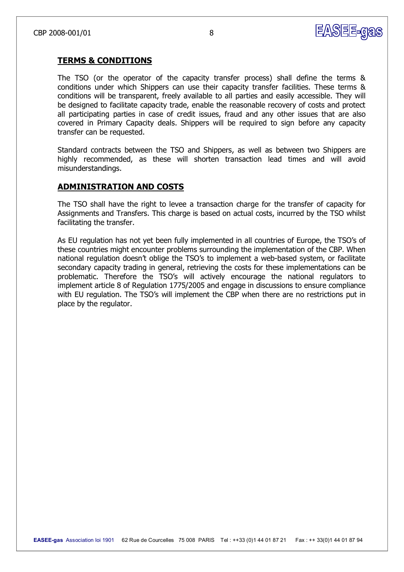

## **TERMS & CONDITIONS**

The TSO (or the operator of the capacity transfer process) shall define the terms & conditions under which Shippers can use their capacity transfer facilities. These terms & conditions will be transparent, freely available to all parties and easily accessible. They will be designed to facilitate capacity trade, enable the reasonable recovery of costs and protect all participating parties in case of credit issues, fraud and any other issues that are also covered in Primary Capacity deals. Shippers will be required to sign before any capacity transfer can be requested.

Standard contracts between the TSO and Shippers, as well as between two Shippers are highly recommended, as these will shorten transaction lead times and will avoid misunderstandings.

## **ADMINISTRATION AND COSTS**

The TSO shall have the right to levee a transaction charge for the transfer of capacity for Assignments and Transfers. This charge is based on actual costs, incurred by the TSO whilst facilitating the transfer.

As EU regulation has not yet been fully implemented in all countries of Europe, the TSO's of these countries might encounter problems surrounding the implementation of the CBP. When national regulation doesn't oblige the TSO's to implement a web-based system, or facilitate secondary capacity trading in general, retrieving the costs for these implementations can be problematic. Therefore the TSO's will actively encourage the national regulators to implement article 8 of Regulation 1775/2005 and engage in discussions to ensure compliance with EU regulation. The TSO's will implement the CBP when there are no restrictions put in place by the regulator.